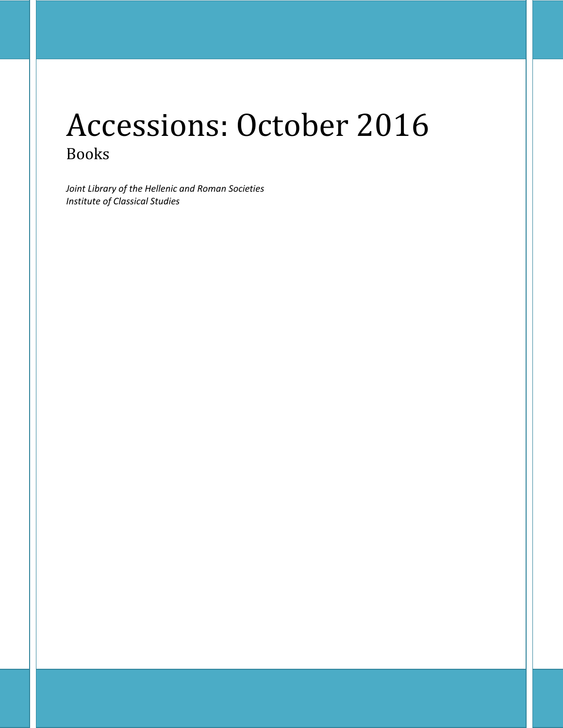# Accessions: October 2016 Books

*Joint Library of the Hellenic and Roman Societies Institute of Classical Studies*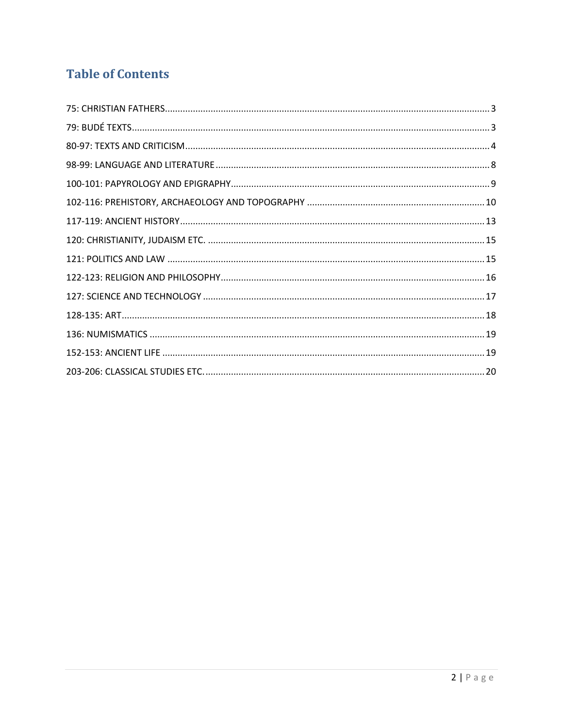## **Table of Contents**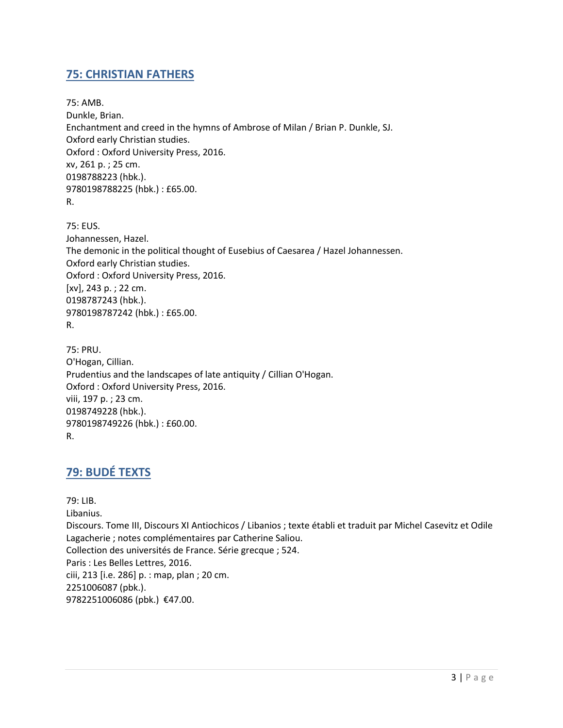#### <span id="page-2-0"></span>**75: CHRISTIAN FATHERS**

75: AMB. Dunkle, Brian. Enchantment and creed in the hymns of Ambrose of Milan / Brian P. Dunkle, SJ. Oxford early Christian studies. Oxford : Oxford University Press, 2016. xv, 261 p. ; 25 cm. 0198788223 (hbk.). 9780198788225 (hbk.) : £65.00. R.

75: EUS. Johannessen, Hazel. The demonic in the political thought of Eusebius of Caesarea / Hazel Johannessen. Oxford early Christian studies. Oxford : Oxford University Press, 2016. [xv], 243 p. ; 22 cm. 0198787243 (hbk.). 9780198787242 (hbk.) : £65.00. R.

75: PRU. O'Hogan, Cillian. Prudentius and the landscapes of late antiquity / Cillian O'Hogan. Oxford : Oxford University Press, 2016. viii, 197 p. ; 23 cm. 0198749228 (hbk.). 9780198749226 (hbk.) : £60.00. R.

## <span id="page-2-1"></span>**79: BUDÉ TEXTS**

79: LIB. Libanius. Discours. Tome III, Discours XI Antiochicos / Libanios ; texte établi et traduit par Michel Casevitz et Odile Lagacherie ; notes complémentaires par Catherine Saliou. Collection des universités de France. Série grecque ; 524. Paris : Les Belles Lettres, 2016. ciii, 213 [i.e. 286] p. : map, plan ; 20 cm. 2251006087 (pbk.). 9782251006086 (pbk.) €47.00.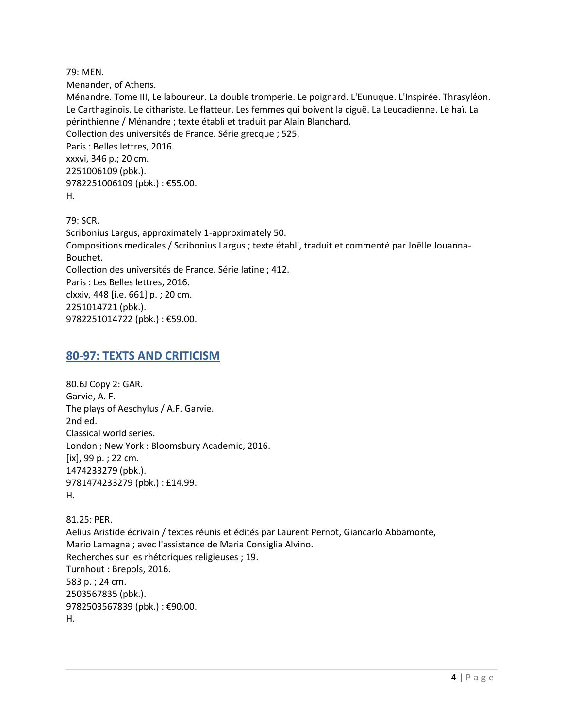79: MEN.

Menander, of Athens.

Ménandre. Tome III, Le laboureur. La double tromperie. Le poignard. L'Eunuque. L'Inspirée. Thrasyléon. Le Carthaginois. Le cithariste. Le flatteur. Les femmes qui boivent la ciguë. La Leucadienne. Le haï. La périnthienne / Ménandre ; texte établi et traduit par Alain Blanchard. Collection des universités de France. Série grecque ; 525. Paris : Belles lettres, 2016. xxxvi, 346 p.; 20 cm. 2251006109 (pbk.). 9782251006109 (pbk.) : €55.00. H.

79: SCR. Scribonius Largus, approximately 1-approximately 50. Compositions medicales / Scribonius Largus ; texte établi, traduit et commenté par Joëlle Jouanna-Bouchet. Collection des universités de France. Série latine ; 412. Paris : Les Belles lettres, 2016. clxxiv, 448 [i.e. 661] p. ; 20 cm. 2251014721 (pbk.). 9782251014722 (pbk.) : €59.00.

#### <span id="page-3-0"></span>**80-97: TEXTS AND CRITICISM**

80.6J Copy 2: GAR. Garvie, A. F. The plays of Aeschylus / A.F. Garvie. 2nd ed. Classical world series. London ; New York : Bloomsbury Academic, 2016.  $[ix]$ , 99 p. ; 22 cm. 1474233279 (pbk.). 9781474233279 (pbk.) : £14.99. H.

81.25: PER. Aelius Aristide écrivain / textes réunis et édités par Laurent Pernot, Giancarlo Abbamonte, Mario Lamagna ; avec l'assistance de Maria Consiglia Alvino. Recherches sur les rhétoriques religieuses ; 19. Turnhout : Brepols, 2016. 583 p. ; 24 cm. 2503567835 (pbk.). 9782503567839 (pbk.) : €90.00. H.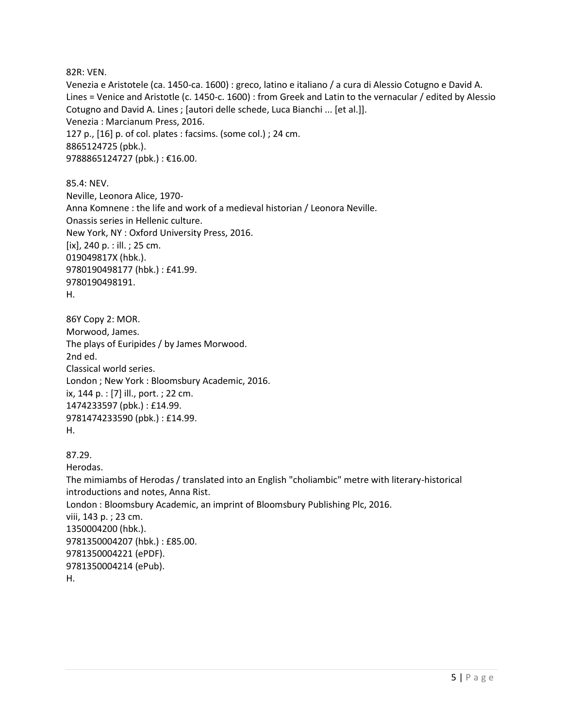82R: VEN.

Venezia e Aristotele (ca. 1450-ca. 1600) : greco, latino e italiano / a cura di Alessio Cotugno e David A. Lines = Venice and Aristotle (c. 1450-c. 1600) : from Greek and Latin to the vernacular / edited by Alessio Cotugno and David A. Lines ; [autori delle schede, Luca Bianchi ... [et al.]]. Venezia : Marcianum Press, 2016. 127 p., [16] p. of col. plates : facsims. (some col.) ; 24 cm. 8865124725 (pbk.). 9788865124727 (pbk.) : €16.00.

85.4: NEV. Neville, Leonora Alice, 1970- Anna Komnene : the life and work of a medieval historian / Leonora Neville. Onassis series in Hellenic culture. New York, NY : Oxford University Press, 2016.  $[ix]$ , 240 p. : ill. ; 25 cm. 019049817X (hbk.). 9780190498177 (hbk.) : £41.99. 9780190498191. H.

```
86Y Copy 2: MOR. 
Morwood, James.
The plays of Euripides / by James Morwood.
2nd ed.
Classical world series.
London ; New York : Bloomsbury Academic, 2016.
ix, 144 p. : [7] ill., port. ; 22 cm.
1474233597 (pbk.) : £14.99. 
9781474233590 (pbk.) : £14.99. 
H.
```

```
87.29.
```
Herodas. The mimiambs of Herodas / translated into an English "choliambic" metre with literary-historical introductions and notes, Anna Rist. London : Bloomsbury Academic, an imprint of Bloomsbury Publishing Plc, 2016. viii, 143 p. ; 23 cm. 1350004200 (hbk.). 9781350004207 (hbk.) : £85.00. 9781350004221 (ePDF). 9781350004214 (ePub). H.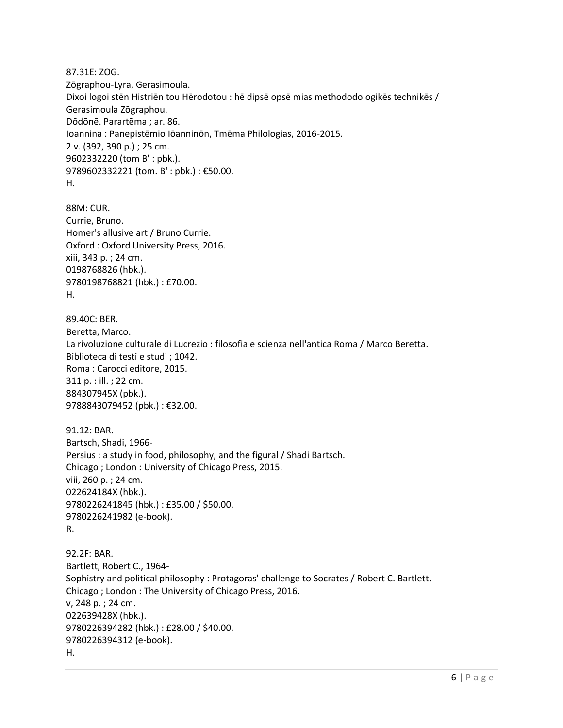87.31E: ZOG. Zōgraphou-Lyra, Gerasimoula. Dixoi logoi stēn Histriēn tou Hērodotou : hē dipsē opsē mias methododologikēs technikēs / Gerasimoula Zōgraphou. Dōdōnē. Parartēma ; ar. 86. Ioannina : Panepistēmio Iōanninōn, Tmēma Philologias, 2016-2015. 2 v. (392, 390 p.) ; 25 cm. 9602332220 (tom B' : pbk.). 9789602332221 (tom. B' : pbk.) : €50.00. H.

88M: CUR. Currie, Bruno. Homer's allusive art / Bruno Currie. Oxford : Oxford University Press, 2016. xiii, 343 p. ; 24 cm. 0198768826 (hbk.). 9780198768821 (hbk.) : £70.00. H.

89.40C: BER. Beretta, Marco. La rivoluzione culturale di Lucrezio : filosofia e scienza nell'antica Roma / Marco Beretta. Biblioteca di testi e studi ; 1042. Roma : Carocci editore, 2015. 311 p. : ill. ; 22 cm. 884307945X (pbk.). 9788843079452 (pbk.) : €32.00.

```
91.12: BAR. 
Bartsch, Shadi, 1966-
Persius : a study in food, philosophy, and the figural / Shadi Bartsch.
Chicago ; London : University of Chicago Press, 2015.
viii, 260 p. ; 24 cm.
022624184X (hbk.). 
9780226241845 (hbk.) : £35.00 / $50.00. 
9780226241982 (e-book). 
R.
```

```
92.2F: BAR. 
Bartlett, Robert C., 1964-
Sophistry and political philosophy : Protagoras' challenge to Socrates / Robert C. Bartlett.
Chicago ; London : The University of Chicago Press, 2016.
v, 248 p. ; 24 cm.
022639428X (hbk.). 
9780226394282 (hbk.) : £28.00 / $40.00. 
9780226394312 (e-book). 
H.
```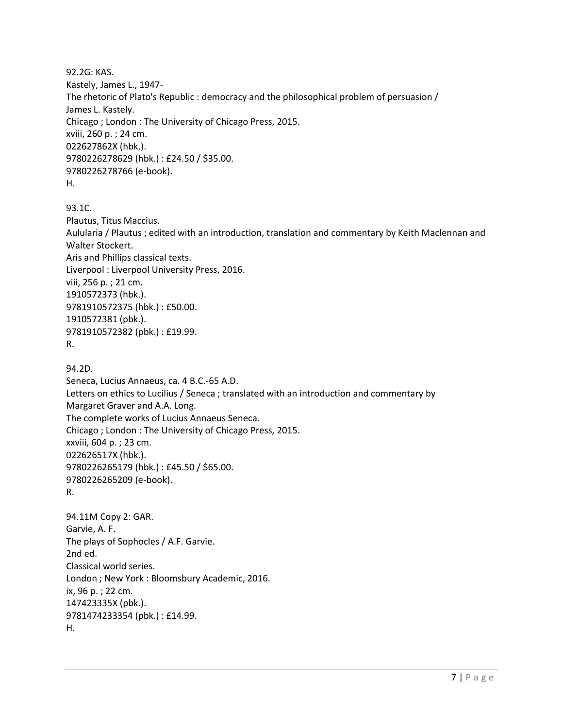92.2G: KAS. Kastely, James L., 1947- The rhetoric of Plato's Republic : democracy and the philosophical problem of persuasion / James L. Kastely. Chicago ; London : The University of Chicago Press, 2015. xviii, 260 p. ; 24 cm. 022627862X (hbk.). 9780226278629 (hbk.) : £24.50 / \$35.00. 9780226278766 (e-book). H.

93.1C.

Plautus, Titus Maccius. Aulularia / Plautus ; edited with an introduction, translation and commentary by Keith Maclennan and Walter Stockert. Aris and Phillips classical texts. Liverpool : Liverpool University Press, 2016. viii, 256 p. ; 21 cm. 1910572373 (hbk.). 9781910572375 (hbk.) : £50.00. 1910572381 (pbk.). 9781910572382 (pbk.) : £19.99. R.

94.2D. Seneca, Lucius Annaeus, ca. 4 B.C.-65 A.D. Letters on ethics to Lucilius / Seneca ; translated with an introduction and commentary by Margaret Graver and A.A. Long. The complete works of Lucius Annaeus Seneca. Chicago ; London : The University of Chicago Press, 2015. xxviii, 604 p. ; 23 cm. 022626517X (hbk.). 9780226265179 (hbk.) : £45.50 / \$65.00. 9780226265209 (e-book). R.

94.11M Copy 2: GAR. Garvie, A. F. The plays of Sophocles / A.F. Garvie. 2nd ed. Classical world series. London ; New York : Bloomsbury Academic, 2016. ix, 96 p. ; 22 cm. 147423335X (pbk.). 9781474233354 (pbk.) : £14.99. H.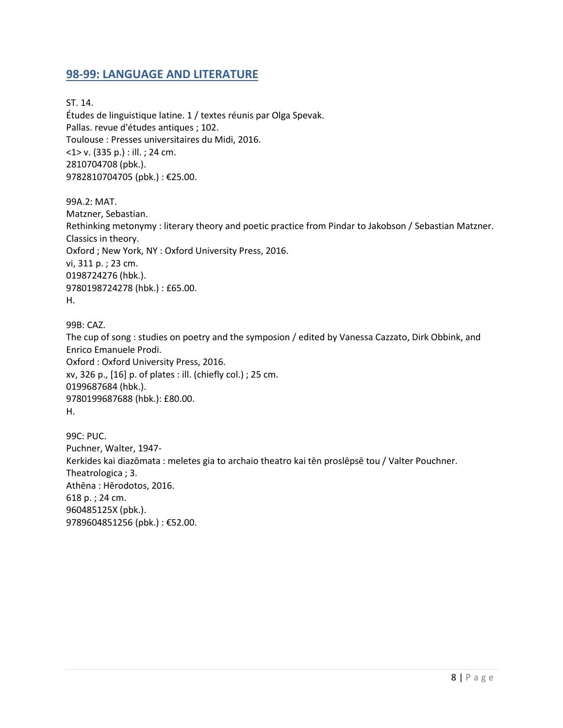#### <span id="page-7-0"></span>**98-99: LANGUAGE AND LITERATURE**

ST. 14. Études de linguistique latine. 1 / textes réunis par Olga Spevak. Pallas. revue d'études antiques ; 102. Toulouse : Presses universitaires du Midi, 2016. <1> v. (335 p.) : ill. ; 24 cm. 2810704708 (pbk.). 9782810704705 (pbk.) : €25.00.

99A.2: MAT. Matzner, Sebastian. Rethinking metonymy : literary theory and poetic practice from Pindar to Jakobson / Sebastian Matzner. Classics in theory. Oxford ; New York, NY : Oxford University Press, 2016. vi, 311 p. ; 23 cm. 0198724276 (hbk.). 9780198724278 (hbk.) : £65.00. H.

99B: CAZ. The cup of song : studies on poetry and the symposion / edited by Vanessa Cazzato, Dirk Obbink, and Enrico Emanuele Prodi. Oxford : Oxford University Press, 2016. xv, 326 p., [16] p. of plates : ill. (chiefly col.) ; 25 cm. 0199687684 (hbk.). 9780199687688 (hbk.): £80.00. H.

99C: PUC. Puchner, Walter, 1947- Kerkides kai diazōmata : meletes gia to archaio theatro kai tēn proslēpsē tou / Valter Pouchner. Theatrologica ; 3. Athēna : Hērodotos, 2016. 618 p. ; 24 cm. 960485125X (pbk.). 9789604851256 (pbk.) : €52.00.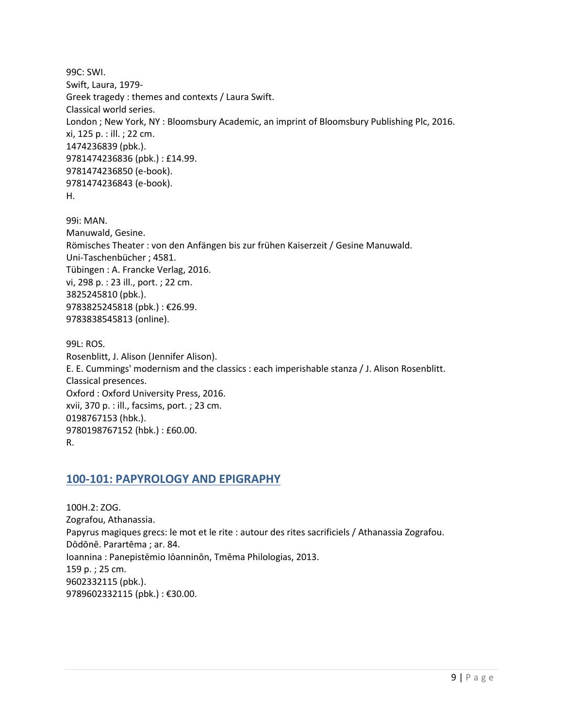99C: SWI. Swift, Laura, 1979- Greek tragedy : themes and contexts / Laura Swift. Classical world series. London ; New York, NY : Bloomsbury Academic, an imprint of Bloomsbury Publishing Plc, 2016. xi, 125 p. : ill. ; 22 cm. 1474236839 (pbk.). 9781474236836 (pbk.) : £14.99. 9781474236850 (e-book). 9781474236843 (e-book). H.

99i: MAN. Manuwald, Gesine. Römisches Theater : von den Anfängen bis zur frühen Kaiserzeit / Gesine Manuwald. Uni-Taschenbücher ; 4581. Tübingen : A. Francke Verlag, 2016. vi, 298 p. : 23 ill., port. ; 22 cm. 3825245810 (pbk.). 9783825245818 (pbk.) : €26.99. 9783838545813 (online).

99L: ROS. Rosenblitt, J. Alison (Jennifer Alison). E. E. Cummings' modernism and the classics : each imperishable stanza / J. Alison Rosenblitt. Classical presences. Oxford : Oxford University Press, 2016. xvii, 370 p. : ill., facsims, port. ; 23 cm. 0198767153 (hbk.). 9780198767152 (hbk.) : £60.00. R.

#### <span id="page-8-0"></span>**100-101: PAPYROLOGY AND EPIGRAPHY**

100H.2: ZOG. Zografou, Athanassia. Papyrus magiques grecs: le mot et le rite : autour des rites sacrificiels / Athanassia Zografou. Dōdōnē. Parartēma ; ar. 84. Ioannina : Panepistēmio Iōanninōn, Tmēma Philologias, 2013. 159 p. ; 25 cm. 9602332115 (pbk.). 9789602332115 (pbk.) : €30.00.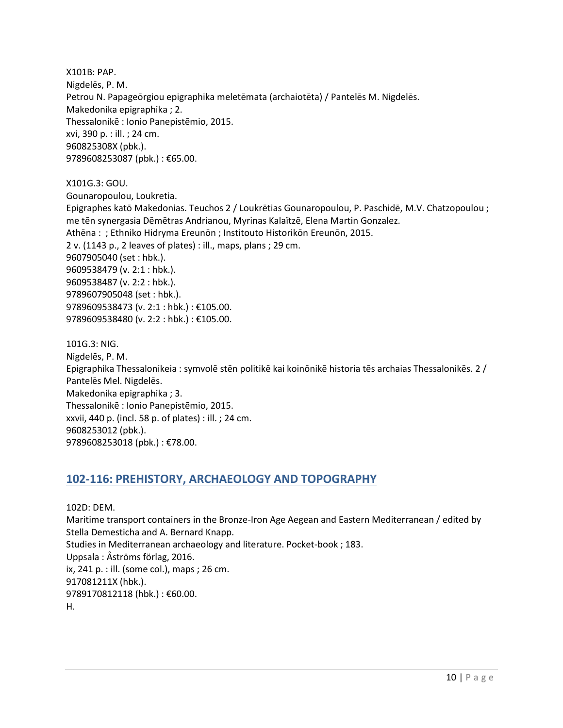X101B: PAP. Nigdelēs, P. M. Petrou N. Papageōrgiou epigraphika meletēmata (archaiotēta) / Pantelēs M. Nigdelēs. Makedonika epigraphika ; 2. Thessalonikē : Ionio Panepistēmio, 2015. xvi, 390 p. : ill. ; 24 cm. 960825308X (pbk.). 9789608253087 (pbk.): €65.00.

X101G.3: GOU.

Gounaropoulou, Loukretia.

Epigraphes katō Makedonias. Teuchos 2 / Loukrētias Gounaropoulou, P. Paschidē, M.V. Chatzopoulou ; me tēn synergasia Dēmētras Andrianou, Myrinas Kalaïtzē, Elena Martin Gonzalez. Athēna : ; Ethniko Hidryma Ereunōn ; Institouto Historikōn Ereunōn, 2015. 2 v. (1143 p., 2 leaves of plates) : ill., maps, plans ; 29 cm. 9607905040 (set : hbk.). 9609538479 (v. 2:1 : hbk.). 9609538487 (v. 2:2 : hbk.). 9789607905048 (set : hbk.). 9789609538473 (v. 2:1 : hbk.) : €105.00. 9789609538480 (v. 2:2 : hbk.) : €105.00.

101G.3: NIG. Nigdelēs, P. M. Epigraphika Thessalonikeia : symvolē stēn politikē kai koinōnikē historia tēs archaias Thessalonikēs. 2 / Pantelēs Mel. Nigdelēs. Makedonika epigraphika ; 3. Thessalonikē : Ionio Panepistēmio, 2015. xxvii, 440 p. (incl. 58 p. of plates) : ill. ; 24 cm. 9608253012 (pbk.). 9789608253018 (pbk.) : €78.00.

### <span id="page-9-0"></span>**102-116: PREHISTORY, ARCHAEOLOGY AND TOPOGRAPHY**

102D: DEM. Maritime transport containers in the Bronze-Iron Age Aegean and Eastern Mediterranean / edited by Stella Demesticha and A. Bernard Knapp. Studies in Mediterranean archaeology and literature. Pocket-book ; 183. Uppsala : Åströms förlag, 2016. ix, 241 p. : ill. (some col.), maps ; 26 cm. 917081211X (hbk.). 9789170812118 (hbk.) : €60.00. H.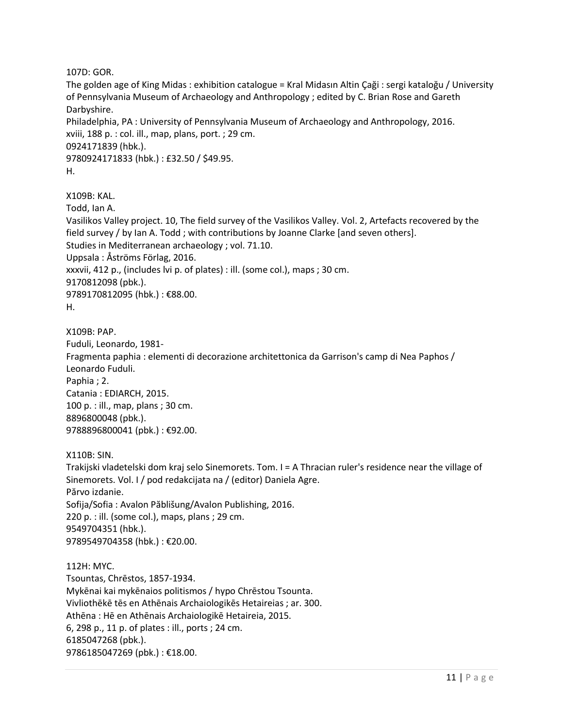107D: GOR.

The golden age of King Midas : exhibition catalogue = Kral Midasın Altin Çaği : sergi kataloğu / University of Pennsylvania Museum of Archaeology and Anthropology ; edited by C. Brian Rose and Gareth Darbyshire. Philadelphia, PA : University of Pennsylvania Museum of Archaeology and Anthropology, 2016. xviii, 188 p. : col. ill., map, plans, port. ; 29 cm. 0924171839 (hbk.). 9780924171833 (hbk.) : £32.50 / \$49.95. H.

X109B: KAL. Todd, Ian A. Vasilikos Valley project. 10, The field survey of the Vasilikos Valley. Vol. 2, Artefacts recovered by the field survey / by Ian A. Todd ; with contributions by Joanne Clarke [and seven others]. Studies in Mediterranean archaeology ; vol. 71.10. Uppsala : Åströms Förlag, 2016. xxxvii, 412 p., (includes lvi p. of plates) : ill. (some col.), maps ; 30 cm. 9170812098 (pbk.). 9789170812095 (hbk.) : €88.00. H.

X109B: PAP. Fuduli, Leonardo, 1981- Fragmenta paphia : elementi di decorazione architettonica da Garrison's camp di Nea Paphos / Leonardo Fuduli. Paphia ; 2. Catania : EDIARCH, 2015. 100 p. : ill., map, plans ; 30 cm. 8896800048 (pbk.). 9788896800041 (pbk.): €92.00.

X110B: SIN.

Trakijski vladetelski dom kraj selo Sinemorets. Tom. I = A Thracian ruler's residence near the village of Sinemorets. Vol. I / pod redakcijata na / (editor) Daniela Agre. Părvo izdanie. Sofija/Sofia : Avalon Păblišung/Avalon Publishing, 2016. 220 p. : ill. (some col.), maps, plans ; 29 cm. 9549704351 (hbk.). 9789549704358 (hbk.) : €20.00.

112H: MYC. Tsountas, Chrēstos, 1857-1934. Mykēnai kai mykēnaios politismos / hypo Chrēstou Tsounta. Vivliothēkē tēs en Athēnais Archaiologikēs Hetaireias ; ar. 300. Athēna : Hē en Athēnais Archaiologikē Hetaireia, 2015. 6, 298 p., 11 p. of plates : ill., ports ; 24 cm. 6185047268 (pbk.). 9786185047269 (pbk.) : €18.00.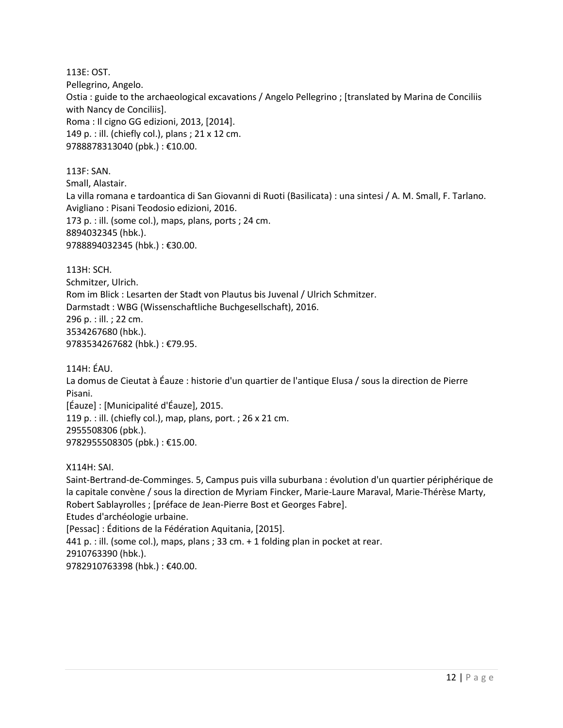113E: OST. Pellegrino, Angelo. Ostia : guide to the archaeological excavations / Angelo Pellegrino ; [translated by Marina de Conciliis with Nancy de Conciliis]. Roma : Il cigno GG edizioni, 2013, [2014]. 149 p. : ill. (chiefly col.), plans ; 21 x 12 cm. 9788878313040 (pbk.) : €10.00.

113F: SAN. Small, Alastair. La villa romana e tardoantica di San Giovanni di Ruoti (Basilicata) : una sintesi / A. M. Small, F. Tarlano. Avigliano : Pisani Teodosio edizioni, 2016. 173 p. : ill. (some col.), maps, plans, ports ; 24 cm. 8894032345 (hbk.). 9788894032345 (hbk.) : €30.00.

113H: SCH. Schmitzer, Ulrich. Rom im Blick : Lesarten der Stadt von Plautus bis Juvenal / Ulrich Schmitzer. Darmstadt : WBG (Wissenschaftliche Buchgesellschaft), 2016. 296 p. : ill. ; 22 cm. 3534267680 (hbk.). 9783534267682 (hbk.) : €79.95.

114H: ÉAU.

La domus de Cieutat à Éauze : historie d'un quartier de l'antique Elusa / sous la direction de Pierre Pisani.

[Éauze] : [Municipalité d'Éauze], 2015. 119 p. : ill. (chiefly col.), map, plans, port. ; 26 x 21 cm. 2955508306 (pbk.). 9782955508305 (pbk.) : €15.00.

X114H: SAI.

Saint-Bertrand-de-Comminges. 5, Campus puis villa suburbana : évolution d'un quartier périphérique de la capitale convène / sous la direction de Myriam Fincker, Marie-Laure Maraval, Marie-Thérèse Marty, Robert Sablayrolles ; [préface de Jean-Pierre Bost et Georges Fabre]. Etudes d'archéologie urbaine. [Pessac] : Éditions de la Fédération Aquitania, [2015]. 441 p. : ill. (some col.), maps, plans ; 33 cm. + 1 folding plan in pocket at rear. 2910763390 (hbk.). 9782910763398 (hbk.) : €40.00.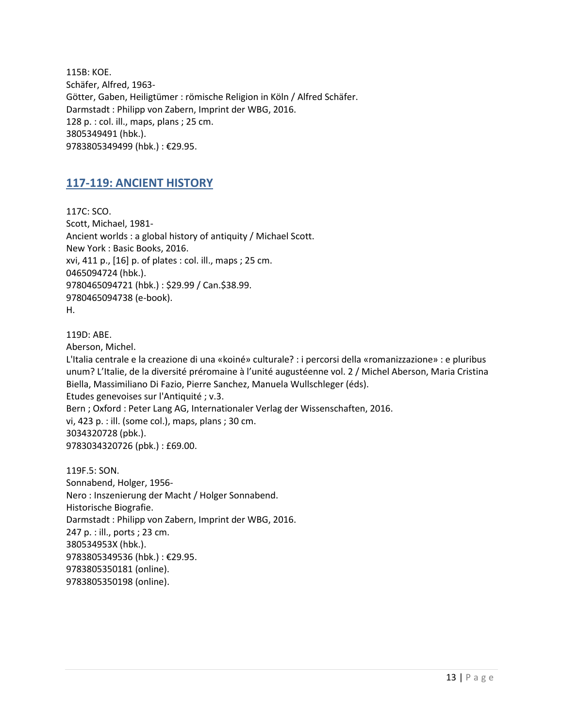115B: KOE. Schäfer, Alfred, 1963- Götter, Gaben, Heiligtümer : römische Religion in Köln / Alfred Schäfer. Darmstadt : Philipp von Zabern, Imprint der WBG, 2016. 128 p. : col. ill., maps, plans ; 25 cm. 3805349491 (hbk.). 9783805349499 (hbk.) : €29.95.

#### <span id="page-12-0"></span>**117-119: ANCIENT HISTORY**

117C: SCO. Scott, Michael, 1981- Ancient worlds : a global history of antiquity / Michael Scott. New York : Basic Books, 2016. xvi, 411 p., [16] p. of plates : col. ill., maps ; 25 cm. 0465094724 (hbk.). 9780465094721 (hbk.) : \$29.99 / Can.\$38.99. 9780465094738 (e-book). H.

119D: ABE.

Aberson, Michel.

L'Italia centrale e la creazione di una «koiné» culturale? : i percorsi della «romanizzazione» : e pluribus unum? L'Italie, de la diversité préromaine à l'unité augustéenne vol. 2 / Michel Aberson, Maria Cristina Biella, Massimiliano Di Fazio, Pierre Sanchez, Manuela Wullschleger (éds). Etudes genevoises sur l'Antiquité ; v.3. Bern ; Oxford : Peter Lang AG, Internationaler Verlag der Wissenschaften, 2016. vi, 423 p. : ill. (some col.), maps, plans ; 30 cm. 3034320728 (pbk.). 9783034320726 (pbk.) : £69.00.

119F.5: SON. Sonnabend, Holger, 1956- Nero : Inszenierung der Macht / Holger Sonnabend. Historische Biografie. Darmstadt : Philipp von Zabern, Imprint der WBG, 2016. 247 p. : ill., ports ; 23 cm. 380534953X (hbk.). 9783805349536 (hbk.) : €29.95. 9783805350181 (online). 9783805350198 (online).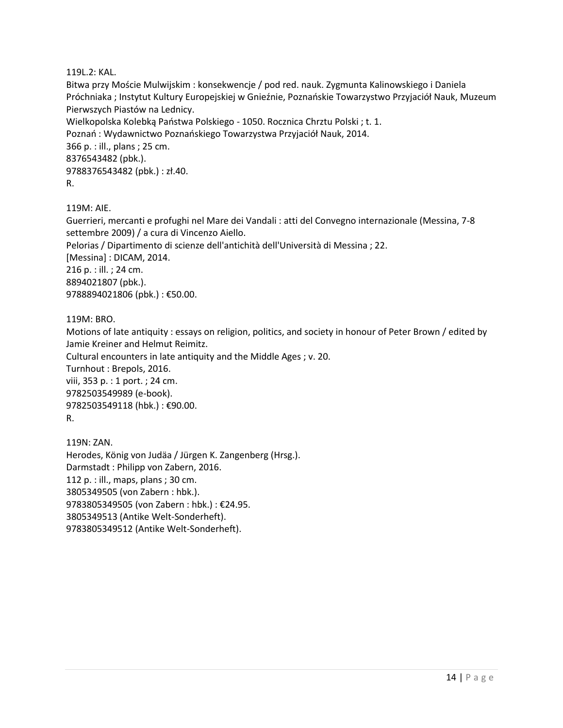119L.2: KAL.

Bitwa przy Moście Mulwijskim : konsekwencje / pod red. nauk. Zygmunta Kalinowskiego i Daniela Próchniaka ; Instytut Kultury Europejskiej w Gnieźnie, Poznańskie Towarzystwo Przyjaciół Nauk, Muzeum Pierwszych Piastów na Lednicy. Wielkopolska Kolebką Państwa Polskiego - 1050. Rocznica Chrztu Polski ; t. 1. Poznań : Wydawnictwo Poznańskiego Towarzystwa Przyjaciół Nauk, 2014. 366 p. : ill., plans ; 25 cm. 8376543482 (pbk.). 9788376543482 (pbk.) : zł.40. R.

119M: AIE.

Guerrieri, mercanti e profughi nel Mare dei Vandali : atti del Convegno internazionale (Messina, 7-8 settembre 2009) / a cura di Vincenzo Aiello. Pelorias / Dipartimento di scienze dell'antichità dell'Università di Messina ; 22. [Messina] : DICAM, 2014. 216 p. : ill. ; 24 cm. 8894021807 (pbk.). 9788894021806 (pbk.) : €50.00.

119M: BRO.

Motions of late antiquity : essays on religion, politics, and society in honour of Peter Brown / edited by Jamie Kreiner and Helmut Reimitz. Cultural encounters in late antiquity and the Middle Ages ; v. 20. Turnhout : Brepols, 2016.

viii, 353 p. : 1 port. ; 24 cm. 9782503549989 (e-book). 9782503549118 (hbk.) : €90.00.

R.

119N: ZAN. Herodes, König von Judäa / Jürgen K. Zangenberg (Hrsg.). Darmstadt : Philipp von Zabern, 2016. 112 p. : ill., maps, plans ; 30 cm. 3805349505 (von Zabern : hbk.). 9783805349505 (von Zabern : hbk.) : €24.95. 3805349513 (Antike Welt-Sonderheft). 9783805349512 (Antike Welt-Sonderheft).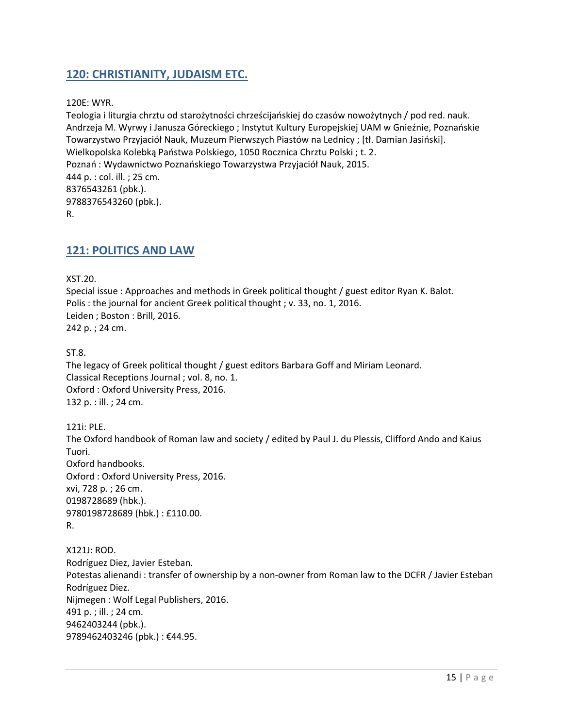#### <span id="page-14-0"></span>**120: CHRISTIANITY, JUDAISM ETC.**

120E: WYR.

Teologia i liturgia chrztu od starożytności chrześcijańskiej do czasów nowożytnych / pod red. nauk. Andrzeja M. Wyrwy i Janusza Góreckiego ; Instytut Kultury Europejskiej UAM w Gnieźnie, Poznańskie Towarzystwo Przyjaciół Nauk, Muzeum Pierwszych Piastów na Lednicy ; [tł. Damian Jasiński]. Wielkopolska Kolebką Państwa Polskiego, 1050 Rocznica Chrztu Polski ; t. 2. Poznań : Wydawnictwo Poznańskiego Towarzystwa Przyjaciół Nauk, 2015. 444 p. : col. ill. ; 25 cm. 8376543261 (pbk.). 9788376543260 (pbk.). R.

#### <span id="page-14-1"></span>**121: POLITICS AND LAW**

XST.20.

Special issue : Approaches and methods in Greek political thought / guest editor Ryan K. Balot. Polis : the journal for ancient Greek political thought ; v. 33, no. 1, 2016. Leiden ; Boston : Brill, 2016. 242 p. ; 24 cm.

ST.8.

The legacy of Greek political thought / guest editors Barbara Goff and Miriam Leonard. Classical Receptions Journal ; vol. 8, no. 1. Oxford : Oxford University Press, 2016. 132 p. : ill. ; 24 cm.

121i: PLE. The Oxford handbook of Roman law and society / edited by Paul J. du Plessis, Clifford Ando and Kaius Tuori. Oxford handbooks. Oxford : Oxford University Press, 2016. xvi, 728 p. ; 26 cm. 0198728689 (hbk.). 9780198728689 (hbk.) : £110.00. R.

X121J: ROD. Rodríguez Diez, Javier Esteban. Potestas alienandi : transfer of ownership by a non-owner from Roman law to the DCFR / Javier Esteban Rodríguez Diez. Nijmegen : Wolf Legal Publishers, 2016. 491 p. ; ill. ; 24 cm. 9462403244 (pbk.). 9789462403246 (pbk.): €44.95.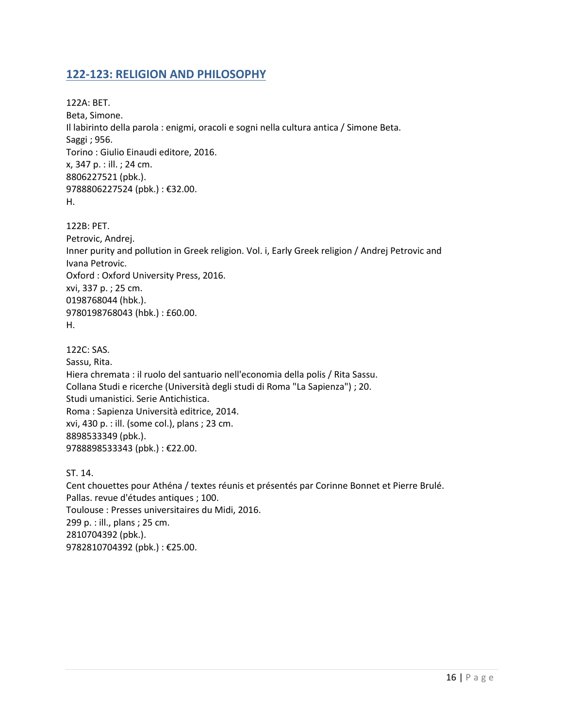#### <span id="page-15-0"></span>**122-123: RELIGION AND PHILOSOPHY**

122A: BET. Beta, Simone. Il labirinto della parola : enigmi, oracoli e sogni nella cultura antica / Simone Beta. Saggi ; 956. Torino : Giulio Einaudi editore, 2016. x, 347 p. : ill. ; 24 cm. 8806227521 (pbk.). 9788806227524 (pbk.) : €32.00. H.

122B: PET. Petrovic, Andrej. Inner purity and pollution in Greek religion. Vol. i, Early Greek religion / Andrej Petrovic and Ivana Petrovic. Oxford : Oxford University Press, 2016. xvi, 337 p. ; 25 cm. 0198768044 (hbk.). 9780198768043 (hbk.) : £60.00. H.

122C: SAS. Sassu, Rita. Hiera chremata : il ruolo del santuario nell'economia della polis / Rita Sassu. Collana Studi e ricerche (Università degli studi di Roma "La Sapienza") ; 20. Studi umanistici. Serie Antichistica. Roma : Sapienza Università editrice, 2014. xvi, 430 p. : ill. (some col.), plans ; 23 cm. 8898533349 (pbk.). 9788898533343 (pbk.) : €22.00.

ST. 14. Cent chouettes pour Athéna / textes réunis et présentés par Corinne Bonnet et Pierre Brulé. Pallas. revue d'études antiques ; 100. Toulouse : Presses universitaires du Midi, 2016. 299 p. : ill., plans ; 25 cm. 2810704392 (pbk.). 9782810704392 (pbk.) : €25.00.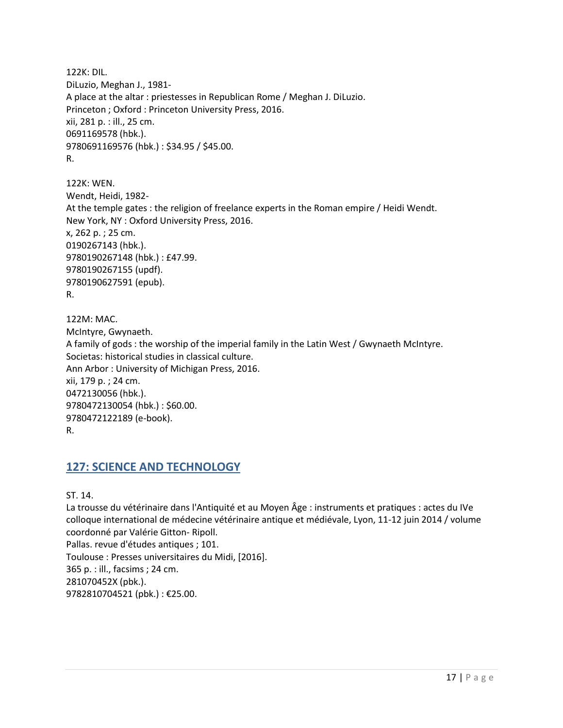122K: DIL. DiLuzio, Meghan J., 1981- A place at the altar : priestesses in Republican Rome / Meghan J. DiLuzio. Princeton ; Oxford : Princeton University Press, 2016. xii, 281 p. : ill., 25 cm. 0691169578 (hbk.). 9780691169576 (hbk.) : \$34.95 / \$45.00. R.

122K: WEN. Wendt, Heidi, 1982- At the temple gates : the religion of freelance experts in the Roman empire / Heidi Wendt. New York, NY : Oxford University Press, 2016. x, 262 p. ; 25 cm. 0190267143 (hbk.). 9780190267148 (hbk.) : £47.99. 9780190267155 (updf). 9780190627591 (epub). R.

122M: MAC. McIntyre, Gwynaeth. A family of gods : the worship of the imperial family in the Latin West / Gwynaeth McIntyre. Societas: historical studies in classical culture. Ann Arbor : University of Michigan Press, 2016. xii, 179 p. ; 24 cm. 0472130056 (hbk.). 9780472130054 (hbk.) : \$60.00. 9780472122189 (e-book). R.

### <span id="page-16-0"></span>**127: SCIENCE AND TECHNOLOGY**

ST. 14.

La trousse du vétérinaire dans l'Antiquité et au Moyen Âge : instruments et pratiques : actes du IVe colloque international de médecine vétérinaire antique et médiévale, Lyon, 11-12 juin 2014 / volume coordonné par Valérie Gitton- Ripoll. Pallas. revue d'études antiques ; 101. Toulouse : Presses universitaires du Midi, [2016]. 365 p. : ill., facsims ; 24 cm. 281070452X (pbk.). 9782810704521 (pbk.) : €25.00.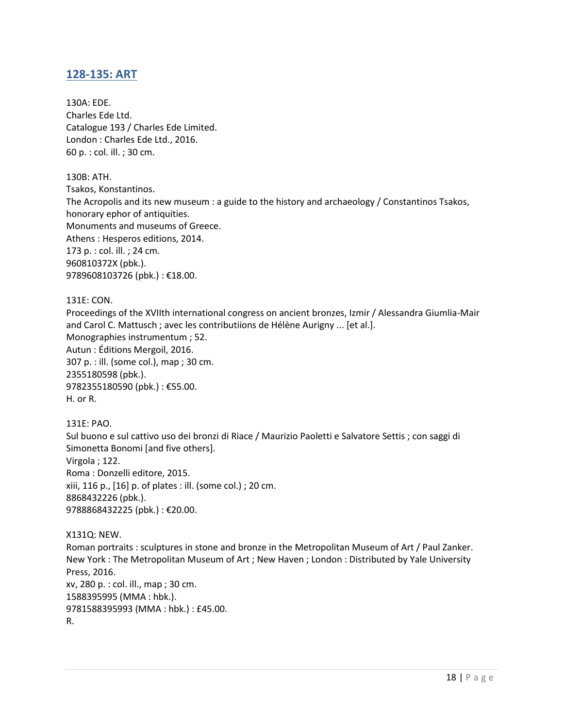#### <span id="page-17-0"></span>**128-135: ART**

130A: EDE. Charles Ede Ltd. Catalogue 193 / Charles Ede Limited. London : Charles Ede Ltd., 2016. 60 p. : col. ill. ; 30 cm.

130B: ATH. Tsakos, Konstantinos. The Acropolis and its new museum : a guide to the history and archaeology / Constantinos Tsakos, honorary ephor of antiquities. Monuments and museums of Greece. Athens : Hesperos editions, 2014. 173 p. : col. ill. ; 24 cm. 960810372X (pbk.). 9789608103726 (pbk.) : €18.00.

131E: CON.

Proceedings of the XVIIth international congress on ancient bronzes, Izmir / Alessandra Giumlia-Mair and Carol C. Mattusch ; avec les contributiions de Hélène Aurigny ... [et al.]. Monographies instrumentum ; 52. Autun : Éditions Mergoil, 2016. 307 p. : ill. (some col.), map ; 30 cm. 2355180598 (pbk.). 9782355180590 (pbk.) : €55.00. H. or R.

131E: PAO. Sul buono e sul cattivo uso dei bronzi di Riace / Maurizio Paoletti e Salvatore Settis ; con saggi di Simonetta Bonomi [and five others]. Virgola ; 122. Roma : Donzelli editore, 2015. xiii, 116 p., [16] p. of plates : ill. (some col.) ; 20 cm. 8868432226 (pbk.). 9788868432225 (pbk.) : €20.00.

X131Q: NEW. Roman portraits : sculptures in stone and bronze in the Metropolitan Museum of Art / Paul Zanker. New York : The Metropolitan Museum of Art ; New Haven ; London : Distributed by Yale University Press, 2016. xv, 280 p. : col. ill., map ; 30 cm. 1588395995 (MMA : hbk.). 9781588395993 (MMA : hbk.) : £45.00. R.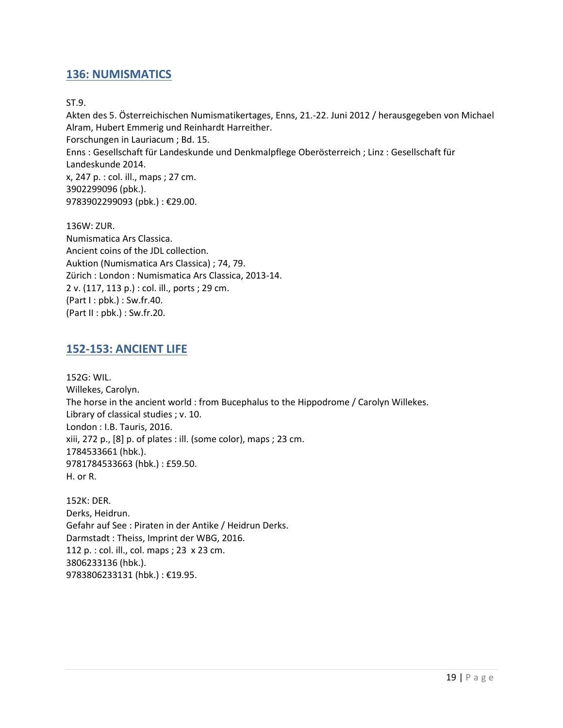#### <span id="page-18-0"></span>**136: NUMISMATICS**

#### ST.9.

Akten des 5. Österreichischen Numismatikertages, Enns, 21.-22. Juni 2012 / herausgegeben von Michael Alram, Hubert Emmerig und Reinhardt Harreither. Forschungen in Lauriacum ; Bd. 15. Enns : Gesellschaft für Landeskunde und Denkmalpflege Oberösterreich ; Linz : Gesellschaft für Landeskunde 2014. x, 247 p. : col. ill., maps ; 27 cm. 3902299096 (pbk.). 9783902299093 (pbk.) : €29.00.

136W: ZUR. Numismatica Ars Classica. Ancient coins of the JDL collection. Auktion (Numismatica Ars Classica) ; 74, 79. Zürich : London : Numismatica Ars Classica, 2013-14. 2 v. (117, 113 p.) : col. ill., ports ; 29 cm. (Part I : pbk.) : Sw.fr.40. (Part II : pbk.) : Sw.fr.20.

#### <span id="page-18-1"></span>**152-153: ANCIENT LIFE**

152G: WIL. Willekes, Carolyn. The horse in the ancient world : from Bucephalus to the Hippodrome / Carolyn Willekes. Library of classical studies ; v. 10. London : I.B. Tauris, 2016. xiii, 272 p., [8] p. of plates : ill. (some color), maps ; 23 cm. 1784533661 (hbk.). 9781784533663 (hbk.) : £59.50. H. or R.

152K: DER. Derks, Heidrun. Gefahr auf See : Piraten in der Antike / Heidrun Derks. Darmstadt : Theiss, Imprint der WBG, 2016. 112 p. : col. ill., col. maps ; 23 x 23 cm. 3806233136 (hbk.). 9783806233131 (hbk.) : €19.95.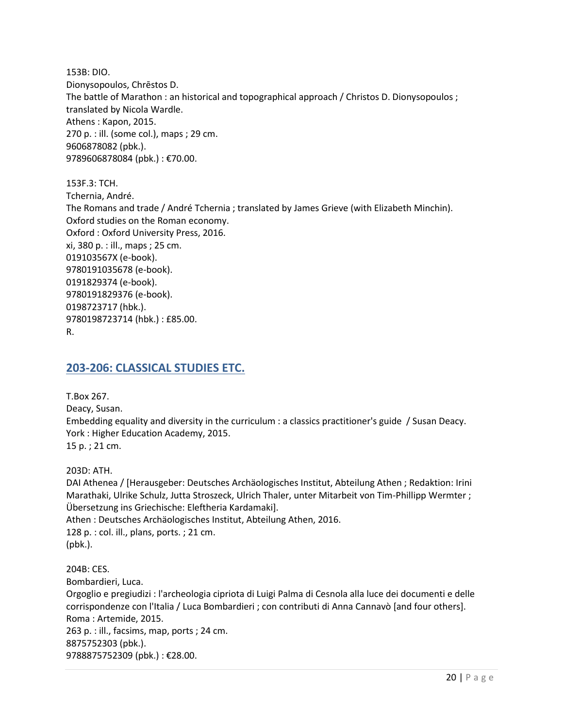153B: DIO. Dionysopoulos, Chrēstos D. The battle of Marathon : an historical and topographical approach / Christos D. Dionysopoulos ; translated by Nicola Wardle. Athens : Kapon, 2015. 270 p. : ill. (some col.), maps ; 29 cm. 9606878082 (pbk.). 9789606878084 (pbk.) : €70.00.

153F.3: TCH. Tchernia, André. The Romans and trade / André Tchernia ; translated by James Grieve (with Elizabeth Minchin). Oxford studies on the Roman economy. Oxford : Oxford University Press, 2016. xi, 380 p. : ill., maps ; 25 cm. 019103567X (e-book). 9780191035678 (e-book). 0191829374 (e-book). 9780191829376 (e-book). 0198723717 (hbk.). 9780198723714 (hbk.) : £85.00. R.

#### <span id="page-19-0"></span>**203-206: CLASSICAL STUDIES ETC.**

T.Box 267. Deacy, Susan. Embedding equality and diversity in the curriculum : a classics practitioner's guide / Susan Deacy. York : Higher Education Academy, 2015. 15 p. ; 21 cm.

203D: ATH.

DAI Athenea / [Herausgeber: Deutsches Archäologisches Institut, Abteilung Athen ; Redaktion: Irini Marathaki, Ulrike Schulz, Jutta Stroszeck, Ulrich Thaler, unter Mitarbeit von Tim-Phillipp Wermter ; Übersetzung ins Griechische: Eleftheria Kardamaki]. Athen : Deutsches Archäologisches Institut, Abteilung Athen, 2016. 128 p. : col. ill., plans, ports. ; 21 cm. (pbk.).

204B: CES. Bombardieri, Luca. Orgoglio e pregiudizi : l'archeologia cipriota di Luigi Palma di Cesnola alla luce dei documenti e delle corrispondenze con l'Italia / Luca Bombardieri ; con contributi di Anna Cannavò [and four others]. Roma : Artemide, 2015. 263 p. : ill., facsims, map, ports ; 24 cm. 8875752303 (pbk.). 9788875752309 (pbk.) : €28.00.